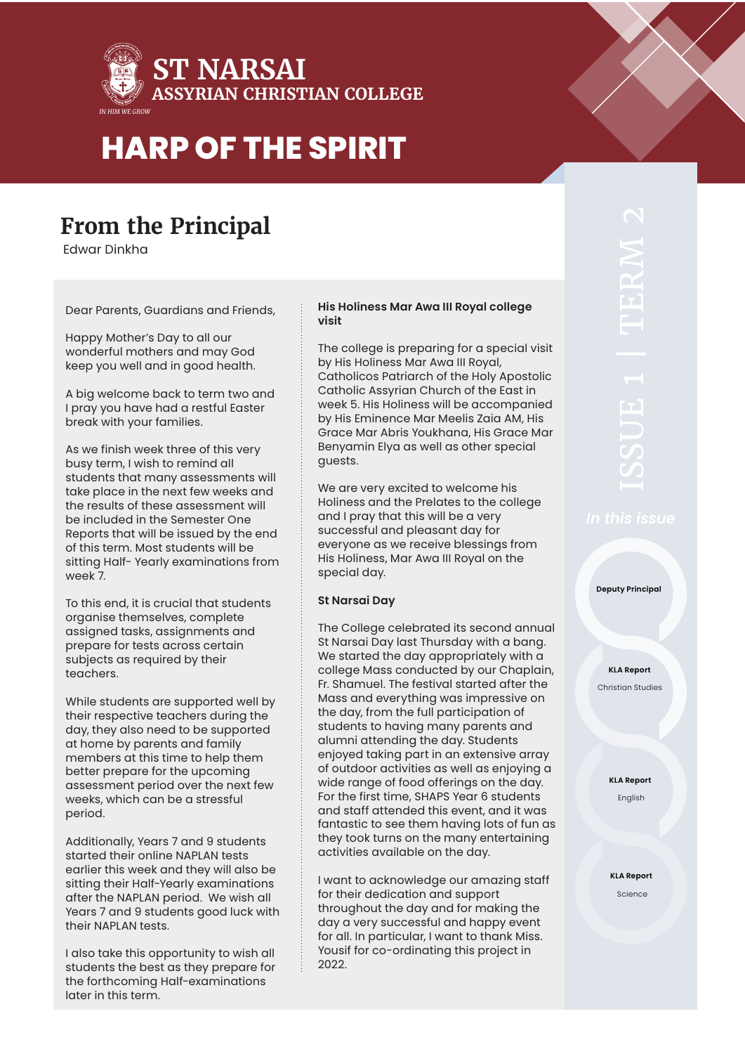

# **From the Principal**

Edwar Dinkha

Dear Parents, Guardians and Friends,

Happy Mother's Day to all our wonderful mothers and may God keep you well and in good health.

A big welcome back to term two and I pray you have had a restful Easter break with your families.

As we finish week three of this very busy term, I wish to remind all students that many assessments will take place in the next few weeks and the results of these assessment will be included in the Semester One Reports that will be issued by the end of this term. Most students will be sitting Half- Yearly examinations from week 7.

To this end, it is crucial that students organise themselves, complete assigned tasks, assignments and prepare for tests across certain subjects as required by their teachers.

While students are supported well by their respective teachers during the day, they also need to be supported at home by parents and family members at this time to help them better prepare for the upcoming assessment period over the next few weeks, which can be a stressful period.

Additionally, Years 7 and 9 students started their online NAPLAN tests earlier this week and they will also be sitting their Half-Yearly examinations after the NAPLAN period. We wish all Years 7 and 9 students good luck with their NAPLAN tests.

I also take this opportunity to wish all students the best as they prepare for the forthcoming Half-examinations later in this term.

### **His Holiness Mar Awa III Royal college visit**

The college is preparing for a special visit by His Holiness Mar Awa III Royal, Catholicos Patriarch of the Holy Apostolic Catholic Assyrian Church of the East in week 5. His Holiness will be accompanied by His Eminence Mar Meelis Zaia AM, His Grace Mar Abris Youkhana, His Grace Mar Benyamin Elya as well as other special guests.

We are very excited to welcome his Holiness and the Prelates to the college and I pray that this will be a very successful and pleasant day for everyone as we receive blessings from His Holiness, Mar Awa III Royal on the special day.

### **St Narsai Day**

The College celebrated its second annual St Narsai Day last Thursday with a bang. We started the day appropriately with a college Mass conducted by our Chaplain, Fr. Shamuel. The festival started after the Mass and everything was impressive on the day, from the full participation of students to having many parents and alumni attending the day. Students enjoyed taking part in an extensive array of outdoor activities as well as enjoying a wide range of food offerings on the day. For the first time, SHAPS Year 6 students and staff attended this event, and it was fantastic to see them having lots of fun as they took turns on the many entertaining activities available on the day.

I want to acknowledge our amazing staff for their dedication and support throughout the day and for making the day a very successful and happy event for all. In particular, I want to thank Miss. Yousif for co-ordinating this project in 2022.

**Deputy Principal**

**KLA Report** Christian Studies

> **KLA Report** English

**KLA Report** Science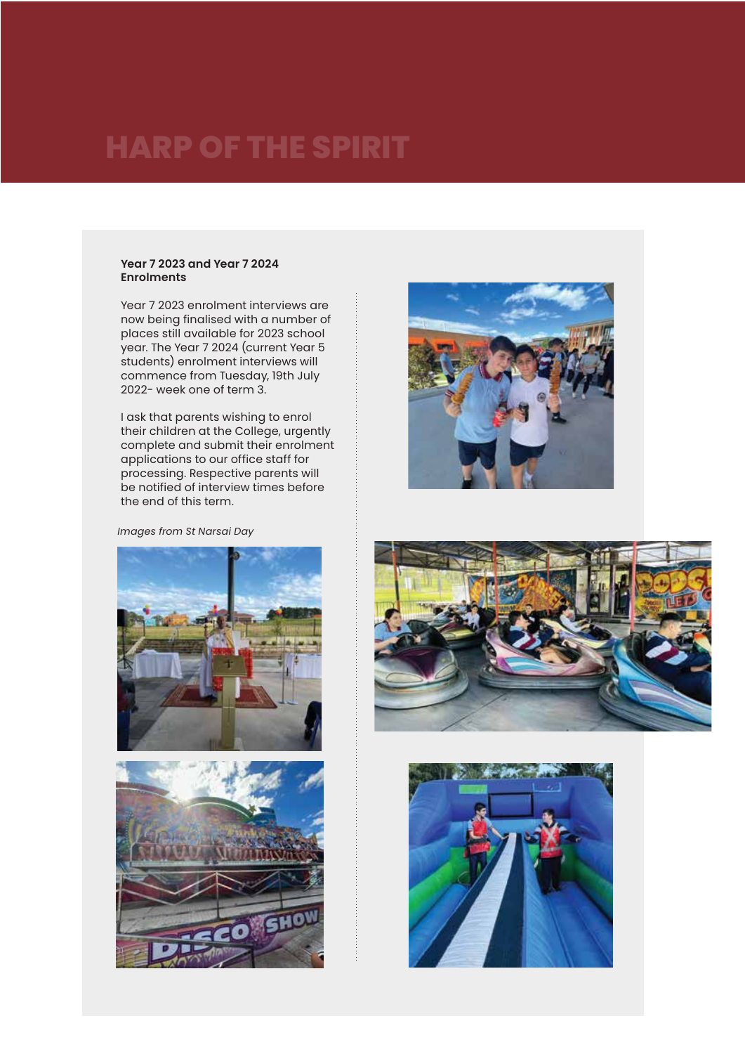#### **Year 7 2023 and Year 7 2024 Enrolments**

Year 7 2023 enrolment interviews are now being finalised with a number of places still available for 2023 school year. The Year 7 2024 (current Year 5 students) enrolment interviews will commence from Tuesday, 19th July 2022- week one of term 3.

I ask that parents wishing to enrol their children at the College, urgently complete and submit their enrolment applications to our office staff for processing. Respective parents will be notified of interview times before the end of this term.

### *Images from St Narsai Day*









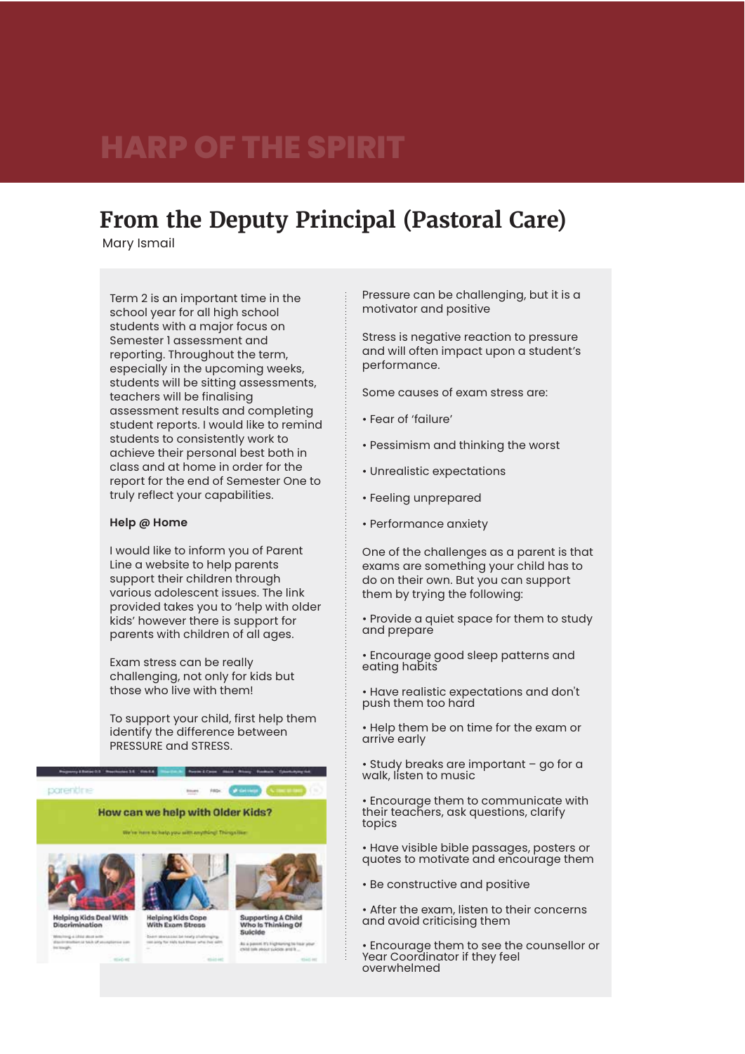## **From the Deputy Principal (Pastoral Care)**

Mary Ismail

Term 2 is an important time in the school year for all high school students with a major focus on Semester 1 assessment and reporting. Throughout the term, especially in the upcoming weeks, students will be sitting assessments, teachers will be finalising assessment results and completing student reports. I would like to remind students to consistently work to achieve their personal best both in class and at home in order for the report for the end of Semester One to truly reflect your capabilities.

#### **Help @ Home**

I would like to inform you of Parent Line a website to help parents support their children through various adolescent issues. The link provided takes you to 'help with older kids' however there is support for parents with children of all ages.

Exam stress can be really challenging, not only for kids but those who live with them!

To support your child, first help them identify the difference between PRESSURE and STRESS.

> Constitution data when homes fundamental the two Carteria Company

corection

#### How can we help with Older Kids?

am Stre

Primary Editorial T. President St., Course





Supporting A Child<br>Who Is Thinking Of Suicide

Pressure can be challenging, but it is a motivator and positive

Stress is negative reaction to pressure and will often impact upon a student's performance.

Some causes of exam stress are:

- Fear of 'failure'
- Pessimism and thinking the worst
- Unrealistic expectations
- Feeling unprepared
- Performance anxiety

One of the challenges as a parent is that exams are something your child has to do on their own. But you can support them by trying the following:

• Provide a quiet space for them to study and prepare

• Encourage good sleep patterns and eating habits

• Have realistic expectations and don't push them too hard

• Help them be on time for the exam or arrive early

• Study breaks are important – go for a walk, listen to music

• Encourage them to communicate with their teachers, ask questions, clarify topics

• Have visible bible passages, posters or quotes to motivate and encourage them

• Be constructive and positive

• After the exam, listen to their concerns and avoid criticising them

• Encourage them to see the counsellor or Year Coordinator if they feel overwhelmed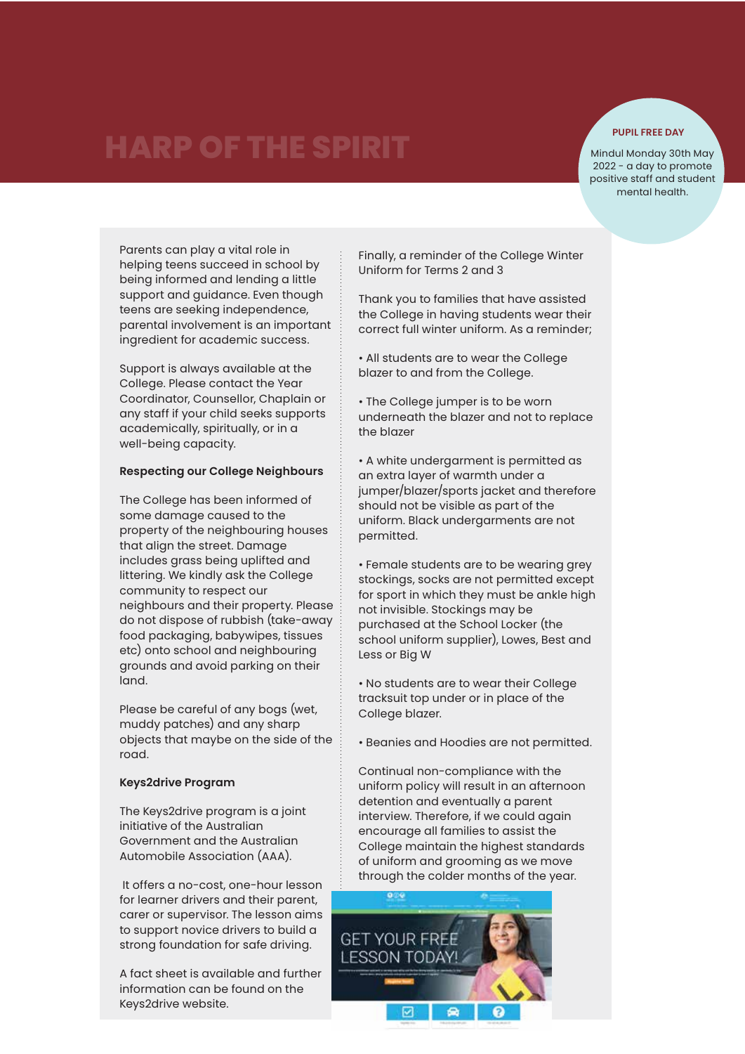### **PUPIL FREE DAY**

Mindul Monday 30th May 2022 - a day to promote positive staff and student mental health.

Parents can play a vital role in helping teens succeed in school by being informed and lending a little support and guidance. Even though teens are seeking independence, parental involvement is an important ingredient for academic success.

Support is always available at the College. Please contact the Year Coordinator, Counsellor, Chaplain or any staff if your child seeks supports academically, spiritually, or in a well-being capacity.

## **Respecting our College Neighbours**

The College has been informed of some damage caused to the property of the neighbouring houses that align the street. Damage includes grass being uplifted and littering. We kindly ask the College community to respect our neighbours and their property. Please do not dispose of rubbish (take-away food packaging, babywipes, tissues etc) onto school and neighbouring grounds and avoid parking on their land.

Please be careful of any bogs (wet, muddy patches) and any sharp objects that maybe on the side of the road.

#### **Keys2drive Program**

The Keys2drive program is a joint initiative of the Australian Government and the Australian Automobile Association (AAA).

 It offers a no-cost, one-hour lesson for learner drivers and their parent, carer or supervisor. The lesson aims to support novice drivers to build a strong foundation for safe driving.

A fact sheet is available and further information can be found on the Keys2drive website.

Finally, a reminder of the College Winter Uniform for Terms 2 and 3

Thank you to families that have assisted the College in having students wear their correct full winter uniform. As a reminder;

• All students are to wear the College blazer to and from the College.

• The College jumper is to be worn underneath the blazer and not to replace the blazer

• A white undergarment is permitted as an extra layer of warmth under a jumper/blazer/sports jacket and therefore should not be visible as part of the uniform. Black undergarments are not permitted.

• Female students are to be wearing grey stockings, socks are not permitted except for sport in which they must be ankle high not invisible. Stockings may be purchased at the School Locker (the school uniform supplier), Lowes, Best and Less or Big W

• No students are to wear their College tracksuit top under or in place of the College blazer.

• Beanies and Hoodies are not permitted.

Continual non-compliance with the uniform policy will result in an afternoon detention and eventually a parent interview. Therefore, if we could again encourage all families to assist the College maintain the highest standards of uniform and grooming as we move through the colder months of the year.

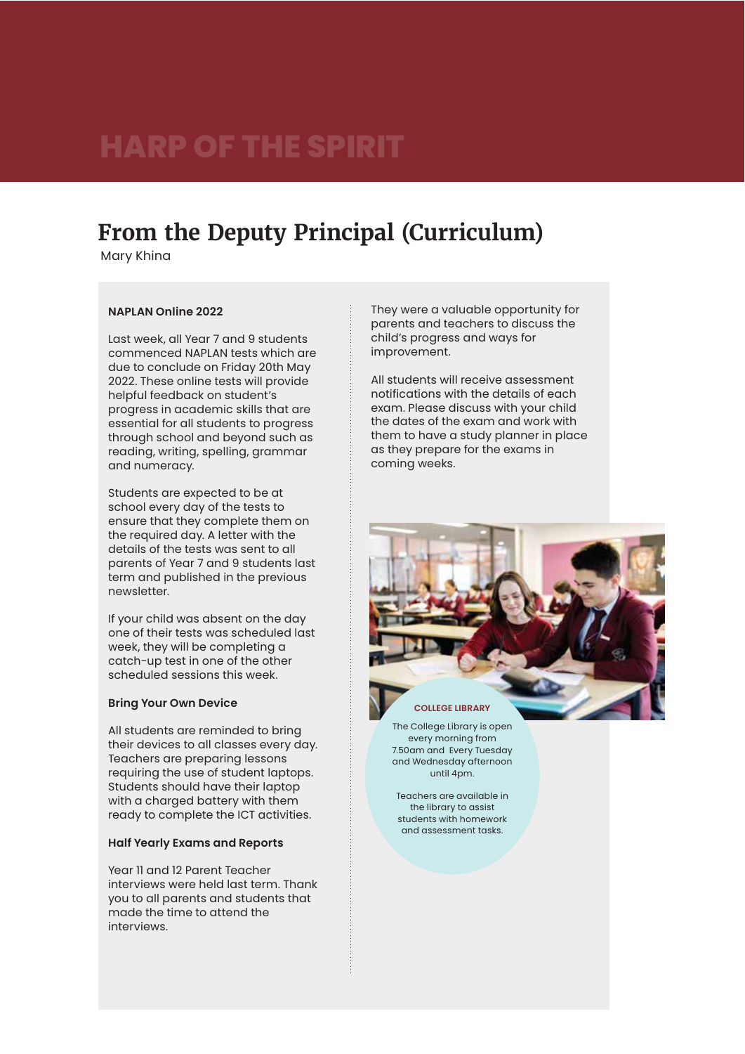## **From the Deputy Principal (Curriculum)**

Mary Khina

## **NAPLAN Online 2022**

Last week, all Year 7 and 9 students commenced NAPLAN tests which are due to conclude on Friday 20th May 2022. These online tests will provide helpful feedback on student's progress in academic skills that are essential for all students to progress through school and beyond such as reading, writing, spelling, grammar and numeracy.

Students are expected to be at school every day of the tests to ensure that they complete them on the required day. A letter with the details of the tests was sent to all parents of Year 7 and 9 students last term and published in the previous newsletter.

If your child was absent on the day one of their tests was scheduled last week, they will be completing a catch-up test in one of the other scheduled sessions this week.

#### **Bring Your Own Device**

All students are reminded to bring their devices to all classes every day. Teachers are preparing lessons requiring the use of student laptops. Students should have their laptop with a charged battery with them ready to complete the ICT activities.

### **Half Yearly Exams and Reports**

Year 11 and 12 Parent Teacher interviews were held last term. Thank you to all parents and students that made the time to attend the interviews.

They were a valuable opportunity for parents and teachers to discuss the child's progress and ways for improvement.

All students will receive assessment notifications with the details of each exam. Please discuss with your child the dates of the exam and work with them to have a study planner in place as they prepare for the exams in coming weeks.



The College Library is open every morning from 7.50am and Every Tuesday and Wednesday afternoon until 4pm.

Teachers are available in the library to assist students with homework and assessment tasks.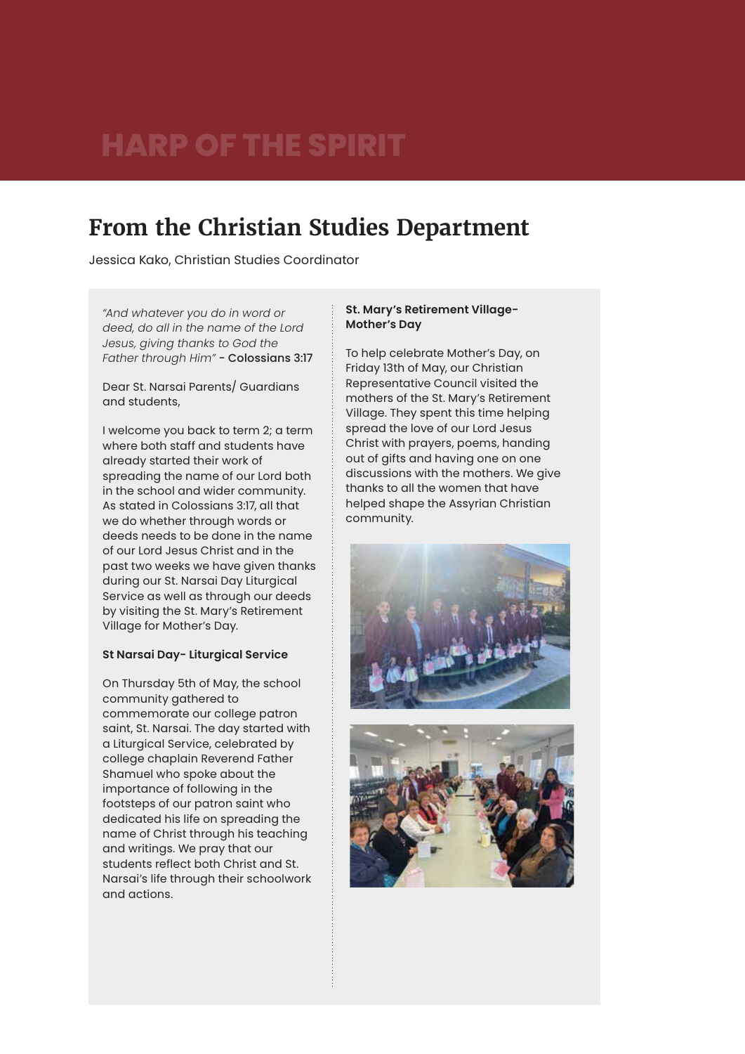# **From the Christian Studies Department**

Jessica Kako, Christian Studies Coordinator

*"And whatever you do in word or deed, do all in the name of the Lord Jesus, giving thanks to God the Father through Him"* - Colossians 3:17

Dear St. Narsai Parents/ Guardians and students,

I welcome you back to term 2; a term where both staff and students have already started their work of spreading the name of our Lord both in the school and wider community. As stated in Colossians 3:17, all that we do whether through words or deeds needs to be done in the name of our Lord Jesus Christ and in the past two weeks we have given thanks during our St. Narsai Day Liturgical Service as well as through our deeds by visiting the St. Mary's Retirement Village for Mother's Day.

### **St Narsai Day- Liturgical Service**

On Thursday 5th of May, the school community gathered to commemorate our college patron saint, St. Narsai. The day started with a Liturgical Service, celebrated by college chaplain Reverend Father Shamuel who spoke about the importance of following in the footsteps of our patron saint who dedicated his life on spreading the name of Christ through his teaching and writings. We pray that our students reflect both Christ and St. Narsai's life through their schoolwork and actions.

### **St. Mary's Retirement Village-Mother's Day**

To help celebrate Mother's Day, on Friday 13th of May, our Christian Representative Council visited the mothers of the St. Mary's Retirement Village. They spent this time helping spread the love of our Lord Jesus Christ with prayers, poems, handing out of gifts and having one on one discussions with the mothers. We give thanks to all the women that have helped shape the Assyrian Christian community.



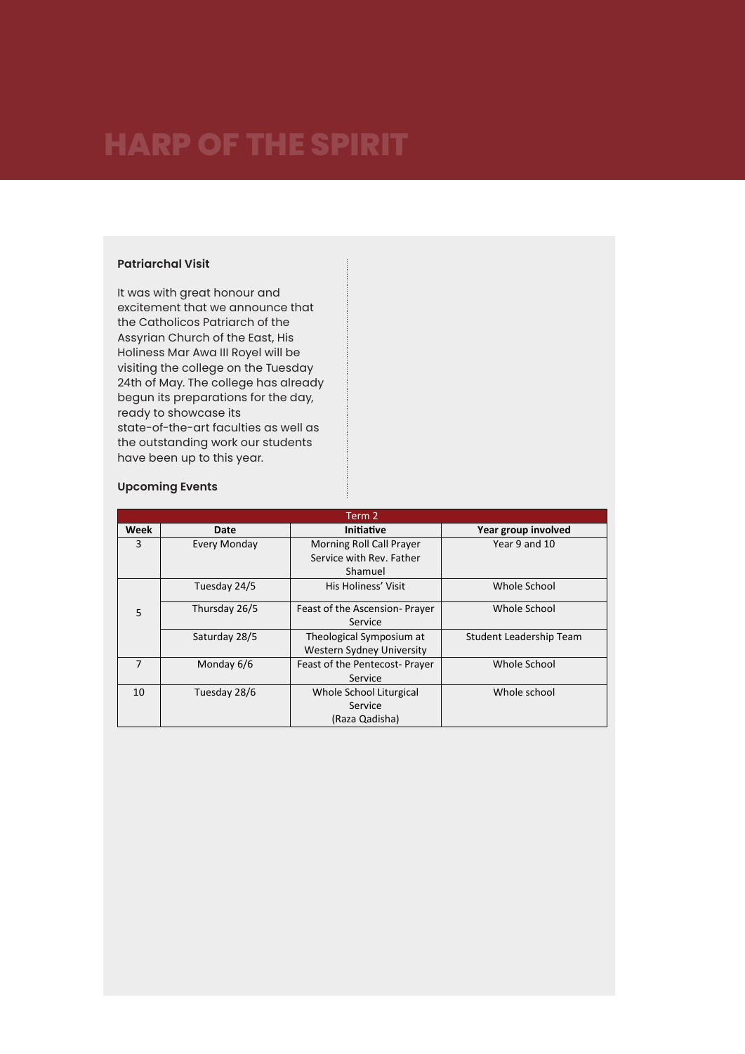## **Patriarchal Visit**

It was with great honour and excitement that we announce that the Catholicos Patriarch of the Assyrian Church of the East, His Holiness Mar Awa III Royel will be visiting the college on the Tuesday 24th of May. The college has already begun its preparations for the day, ready to showcase its state-of-the-art faculties as well as the outstanding work our students have been up to this year.

### **Upcoming Events**

| Term 2         |                     |                                  |                         |
|----------------|---------------------|----------------------------------|-------------------------|
| Week           | Date                | <b>Initiative</b>                | Year group involved     |
| 3              | <b>Every Monday</b> | Morning Roll Call Prayer         | Year 9 and 10           |
|                |                     | Service with Rev. Father         |                         |
|                |                     | Shamuel                          |                         |
| 5              | Tuesday 24/5        | His Holiness' Visit              | Whole School            |
|                | Thursday 26/5       | Feast of the Ascension-Prayer    | Whole School            |
|                |                     | Service                          |                         |
|                | Saturday 28/5       | Theological Symposium at         | Student Leadership Team |
|                |                     | <b>Western Sydney University</b> |                         |
| $\overline{7}$ | Monday 6/6          | Feast of the Pentecost- Prayer   | Whole School            |
|                |                     | Service                          |                         |
| 10             | Tuesday 28/6        | Whole School Liturgical          | Whole school            |
|                |                     | Service                          |                         |
|                |                     | (Raza Qadisha)                   |                         |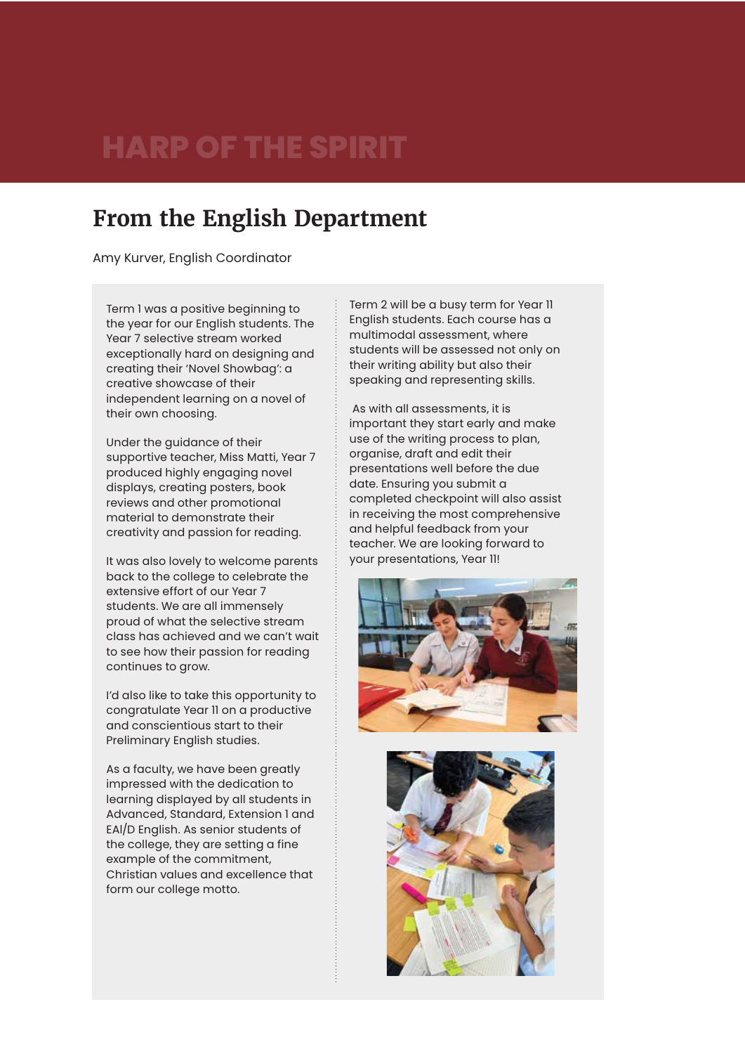# **From the English Department**

Amy Kurver, English Coordinator

Term 1 was a positive beginning to the year for our English students. The Year 7 selective stream worked exceptionally hard on designing and creating their 'Novel Showbag': a creative showcase of their independent learning on a novel of their own choosing.

Under the guidance of their supportive teacher, Miss Matti, Year 7 produced highly engaging novel displays, creating posters, book reviews and other promotional material to demonstrate their creativity and passion for reading.

It was also lovely to welcome parents back to the college to celebrate the extensive effort of our Year 7 students. We are all immensely proud of what the selective stream class has achieved and we can't wait to see how their passion for reading continues to grow.

I'd also like to take this opportunity to congratulate Year 11 on a productive and conscientious start to their Preliminary English studies.

As a faculty, we have been greatly impressed with the dedication to learning displayed by all students in Advanced, Standard, Extension 1 and EAl/D English. As senior students of the college, they are setting a fine example of the commitment, Christian values and excellence that form our college motto.

Term 2 will be a busy term for Year 11 English students. Each course has a multimodal assessment, where students will be assessed not only on their writing ability but also their speaking and representing skills.

 As with all assessments, it is important they start early and make use of the writing process to plan, organise, draft and edit their presentations well before the due date. Ensuring you submit a completed checkpoint will also assist in receiving the most comprehensive and helpful feedback from your teacher. We are looking forward to your presentations, Year 11!